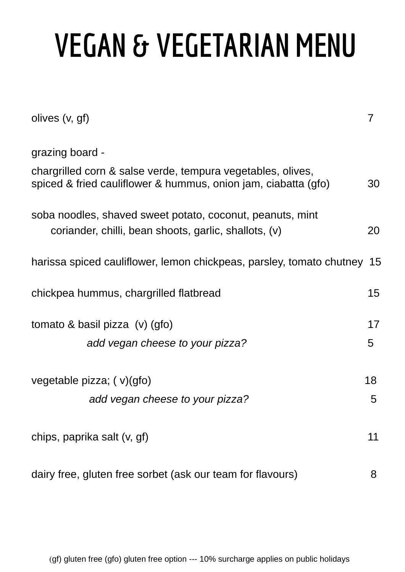## **VEGAN & VEGETARIAN MENU**

| olives (v, gf)                                                                                                                |    |
|-------------------------------------------------------------------------------------------------------------------------------|----|
| grazing board -                                                                                                               |    |
| chargrilled corn & salse verde, tempura vegetables, olives,<br>spiced & fried cauliflower & hummus, onion jam, ciabatta (gfo) | 30 |
| soba noodles, shaved sweet potato, coconut, peanuts, mint<br>coriander, chilli, bean shoots, garlic, shallots, (v)            | 20 |
| harissa spiced cauliflower, lemon chickpeas, parsley, tomato chutney 15                                                       |    |
| chickpea hummus, chargrilled flatbread                                                                                        | 15 |
| tomato & basil pizza $(v)$ (gfo)                                                                                              | 17 |
| add vegan cheese to your pizza?                                                                                               | 5  |
| vegetable pizza; $(v)(gfo)$                                                                                                   | 18 |
| add vegan cheese to your pizza?                                                                                               | 5  |
| chips, paprika salt (v, gf)                                                                                                   | 11 |
| dairy free, gluten free sorbet (ask our team for flavours)                                                                    | 8  |